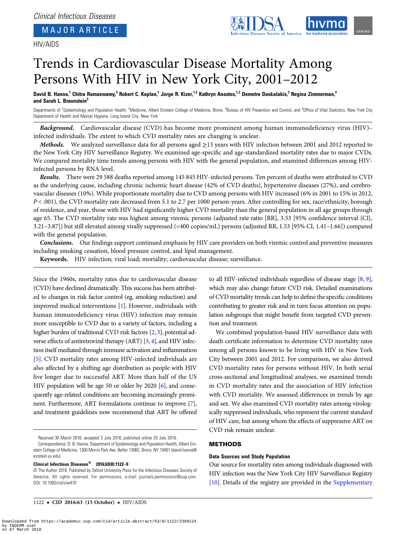# MAJOR ARTICLE

# HIV/AIDS



# Trends in Cardiovascular Disease Mortality Among Persons With HIV in New York City, 2001–2012

David B. Hanna,<sup>1</sup> Chitra Ramaswamy,<sup>3</sup> Robert C. Kaplan,<sup>1</sup> Jorge R. Kizer,<sup>1,2</sup> Kathryn Anastos,<sup>1,2</sup> Demetre Daskalakis,<sup>3</sup> Regina Zimmerman,<sup>4</sup> and Sarah L. Braunstein<sup>3</sup>

Departments of <sup>1</sup>Epidemiology and Population Health, <sup>2</sup>Medicine, Albert Einstein College of Medicine, Bronx, <sup>3</sup>Bureau of HIV Prevention and Control, and <sup>4</sup>Office of Vital Statistics, New York City Department of Health and Mental Hygiene, Long Island City, New York

Background. Cardiovascular disease (CVD) has become more prominent among human immunodeficiency virus (HIV)– infected individuals. The extent to which CVD mortality rates are changing is unclear.

*Methods.* We analyzed surveillance data for all persons aged  $\geq$ 13 years with HIV infection between 2001 and 2012 reported to the New York City HIV Surveillance Registry. We examined age-specific and age-standardized mortality rates due to major CVDs. We compared mortality time trends among persons with HIV with the general population, and examined differences among HIVinfected persons by RNA level.

Results. There were 29 588 deaths reported among 145 845 HIV-infected persons. Ten percent of deaths were attributed to CVD as the underlying cause, including chronic ischemic heart disease (42% of CVD deaths), hypertensive diseases (27%), and cerebrovascular diseases (10%). While proportionate mortality due to CVD among persons with HIV increased (6% in 2001 to 15% in 2012, P < .001), the CVD mortality rate decreased from 5.1 to 2.7 per 1000 person-years. After controlling for sex, race/ethnicity, borough of residence, and year, those with HIV had significantly higher CVD mortality than the general population in all age groups through age 65. The CVD mortality rate was highest among viremic persons (adjusted rate ratio [RR], 3.53 [95% confidence interval {CI}, 3.21–3.87]) but still elevated among virally suppressed (<400 copies/mL) persons (adjusted RR, 1.53 [95% CI, 1.41–1.66]) compared with the general population.

Conclusions. Our findings support continued emphasis by HIV care providers on both viremic control and preventive measures including smoking cessation, blood pressure control, and lipid management.

Keywords. HIV infection; viral load; mortality; cardiovascular disease; surveillance.

Since the 1960s, mortality rates due to cardiovascular disease (CVD) have declined dramatically. This success has been attributed to changes in risk factor control (eg, smoking reduction) and improved medical interventions [\[1\]](#page-7-0). However, individuals with human immunodeficiency virus (HIV) infection may remain more susceptible to CVD due to a variety of factors, including a higher burden of traditional CVD risk factors [[2](#page-7-0), [3](#page-7-0)], potential adverse effects of antiretroviral therapy (ART) [\[3](#page-7-0), [4](#page-7-0)], and HIV infection itself mediated through immune activation and inflammation [\[5\]](#page-7-0). CVD mortality rates among HIV-infected individuals are also affected by a shifting age distribution as people with HIV live longer due to successful ART. More than half of the US HIV population will be age 50 or older by 2020 [\[6\]](#page-7-0), and consequently age-related conditions are becoming increasingly prominent. Furthermore, ART formulations continue to improve [\[7\]](#page-7-0), and treatment guidelines now recommend that ART be offered

Clinical Infectious Diseases® 2016;63(8):1122–9

1122 • CID 2016:63 (15 October) • HIV/AIDS

which may also change future CVD risk. Detailed examinations of CVD mortality trends can help to define the specific conditions contributing to greater risk and in turn focus attention on population subgroups that might benefit from targeted CVD prevention and treatment. We combined population-based HIV surveillance data with

to all HIV-infected individuals regardless of disease stage [[8,](#page-7-0) [9\]](#page-7-0),

death certificate information to determine CVD mortality rates among all persons known to be living with HIV in New York City between 2001 and 2012. For comparison, we also derived CVD mortality rates for persons without HIV. In both serial cross-sectional and longitudinal analyses, we examined trends in CVD mortality rates and the association of HIV infection with CVD mortality. We assessed differences in trends by age and sex. We also examined CVD mortality rates among virologically suppressed individuals, who represent the current standard of HIV care, but among whom the effects of suppressive ART on CVD risk remain unclear.

# METHODS

#### Data Sources and Study Population

Our source for mortality rates among individuals diagnosed with HIV infection was the New York City HIV Surveillance Registry [\[10](#page-7-0)]. Details of the registry are provided in the [Supplementary](http://cid.oxfordjournals.org/lookup/suppl/doi:10.1093/cid/ciw470/-/DC1)

Received 30 March 2016; accepted 3 July 2016; published online 20 July 2016.

Correspondence: D. B. Hanna, Department of Epidemiology and Population Health, Albert Einstein College of Medicine, 1300 Morris Park Ave, Belfer 1306C, Bronx, NY 10461 [\(david.hanna@](mailto:david.hanna@einstein.yu.edu) [einstein.yu.edu\)](mailto:david.hanna@einstein.yu.edu).

<sup>©</sup> The Author 2016. Published by Oxford University Press for the Infectious Diseases Society of America. All rights reserved. For permissions, e-mail [journals.permissions@oup.com](mailto:journals.permissions@oup.com). DOI: 10.1093/cid/ciw470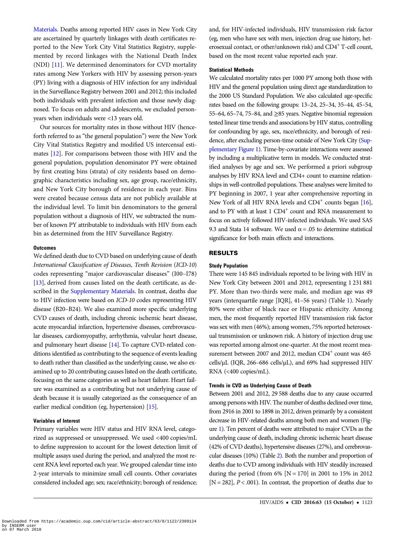[Materials](http://cid.oxfordjournals.org/lookup/suppl/doi:10.1093/cid/ciw470/-/DC1). Deaths among reported HIV cases in New York City are ascertained by quarterly linkages with death certificates reported to the New York City Vital Statistics Registry, supplemented by record linkages with the National Death Index (NDI) [\[11](#page-7-0)]. We determined denominators for CVD mortality rates among New Yorkers with HIV by assessing person-years (PY) living with a diagnosis of HIV infection for any individual in the Surveillance Registry between 2001 and 2012; this included both individuals with prevalent infection and those newly diagnosed. To focus on adults and adolescents, we excluded personyears when individuals were <13 years old.

Our sources for mortality rates in those without HIV (henceforth referred to as "the general population") were the New York City Vital Statistics Registry and modified US intercensal estimates [\[12](#page-7-0)]. For comparisons between those with HIV and the general population, population denominator PY were obtained by first creating bins (strata) of city residents based on demographic characteristics including sex, age group, race/ethnicity, and New York City borough of residence in each year. Bins were created because census data are not publicly available at the individual level. To limit bin denominators to the general population without a diagnosis of HIV, we subtracted the number of known PY attributable to individuals with HIV from each bin as determined from the HIV Surveillance Registry.

## **Outcomes**

We defined death due to CVD based on underlying cause of death International Classification of Diseases, Tenth Revision (ICD-10) codes representing "major cardiovascular diseases" (I00–I78) [\[13](#page-7-0)], derived from causes listed on the death certificate, as described in the [Supplementary Materials.](http://cid.oxfordjournals.org/lookup/suppl/doi:10.1093/cid/ciw470/-/DC1) In contrast, deaths due to HIV infection were based on ICD-10 codes representing HIV disease (B20–B24). We also examined more specific underlying CVD causes of death, including chronic ischemic heart disease, acute myocardial infarction, hypertensive diseases, cerebrovascular diseases, cardiomyopathy, arrhythmia, valvular heart disease, and pulmonary heart disease [\[14](#page-7-0)]. To capture CVD-related conditions identified as contributing to the sequence of events leading to death rather than classified as the underlying cause, we also examined up to 20 contributing causes listed on the death certificate, focusing on the same categories as well as heart failure. Heart failure was examined as a contributing but not underlying cause of death because it is usually categorized as the consequence of an earlier medical condition (eg, hypertension) [\[15](#page-7-0)].

#### Variables of Interest

Primary variables were HIV status and HIV RNA level, categorized as suppressed or unsuppressed. We used <400 copies/mL to define suppression to account for the lowest detection limit of multiple assays used during the period, and analyzed the most recent RNA level reported each year. We grouped calendar time into 2-year intervals to minimize small cell counts. Other covariates considered included age; sex; race/ethnicity; borough of residence;

and, for HIV-infected individuals, HIV transmission risk factor (eg, men who have sex with men, injection drug use history, heterosexual contact, or other/unknown risk) and CD4<sup>+</sup> T-cell count, based on the most recent value reported each year.

#### Statistical Methods

We calculated mortality rates per 1000 PY among both those with HIV and the general population using direct age standardization to the 2000 US Standard Population. We also calculated age-specific rates based on the following groups: 13–24, 25–34, 35–44, 45–54, 55–64, 65–74, 75–84, and  $\geq$ 85 years. Negative binomial regression tested linear time trends and associations by HIV status, controlling for confounding by age, sex, race/ethnicity, and borough of residence, after excluding person-time outside of New York City [\(Sup](http://cid.oxfordjournals.org/lookup/suppl/doi:10.1093/cid/ciw470/-/DC1)[plementary Figure 1](http://cid.oxfordjournals.org/lookup/suppl/doi:10.1093/cid/ciw470/-/DC1)). Time-by-covariate interactions were assessed by including a multiplicative term in models. We conducted stratified analyses by age and sex. We performed a priori subgroup analyses by HIV RNA level and CD4+ count to examine relationships in well-controlled populations. These analyses were limited to PY beginning in 2007, 1 year after comprehensive reporting in New York of all HIV RNA levels and  $CD4^+$  counts began [[16\]](#page-7-0), and to PY with at least 1 CD4<sup>+</sup> count and RNA measurement to focus on actively followed HIV-infected individuals. We used SAS 9.3 and Stata 14 software. We used  $\alpha$  = .05 to determine statistical significance for both main effects and interactions.

# RESULTS

## Study Population

There were 145 845 individuals reported to be living with HIV in New York City between 2001 and 2012, representing 1 231 881 PY. More than two-thirds were male, and median age was 49 years (interquartile range [IQR], 41–56 years) (Table [1\)](#page-2-0). Nearly 80% were either of black race or Hispanic ethnicity. Among men, the most frequently reported HIV transmission risk factor was sex with men (46%); among women, 75% reported heterosexual transmission or unknown risk. A history of injection drug use was reported among almost one-quarter. At the most recent measurement between 2007 and 2012, median  $CD4^+$  count was 465 cells/µL (IQR, 266–686 cells/µL), and 69% had suppressed HIV RNA (<400 copies/mL).

# Trends in CVD as Underlying Cause of Death

Between 2001 and 2012, 29 588 deaths due to any cause occurred among persons with HIV. The number of deaths declined over time, from 2916 in 2001 to 1898 in 2012, driven primarily by a consistent decrease in HIV-related deaths among both men and women (Figure [1](#page-2-0)). Ten percent of deaths were attributed to major CVDs as the underlying cause of death, including chronic ischemic heart disease (42% of CVD deaths), hypertensive diseases (27%), and cerebrovascular diseases (10%) (Table [2](#page-3-0)). Both the number and proportion of deaths due to CVD among individuals with HIV steadily increased during the period (from  $6\%$  [N = 170] in 2001 to 15% in 2012 [ $N = 282$ ],  $P < .001$ ). In contrast, the proportion of deaths due to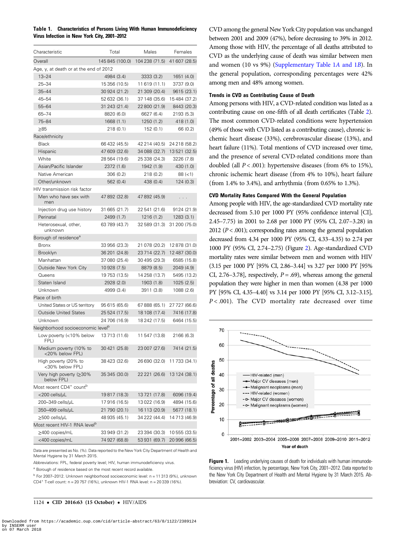<span id="page-2-0"></span>Table 1. Characteristics of Persons Living With Human Immunodeficiency Virus Infection in New York City, 2001–2012

| Characteristic                                  | Total           | Males          | Females       |
|-------------------------------------------------|-----------------|----------------|---------------|
| Overall                                         | 145 845 (100.0) | 104 238 (71.5) | 41 607 (28.5) |
| Age, y, at death or at the end of 2012          |                 |                |               |
| $13 - 24$                                       | 4984 (3.4)      | 3333(3.2)      | 1651 (4.0)    |
| $25 - 34$                                       | 15 356 (10.5)   | 11 619 (11.1)  | 3737 (9.0)    |
| $35 - 44$                                       | 30 924 (21.2)   | 21 309 (20.4)  | 9615 (23.1)   |
| $45 - 54$                                       | 52 632 (36.1)   | 37 148 (35.6)  | 15484 (37.2)  |
| $55 - 64$                                       | 31 243 (21.4)   | 22 800 (21.9)  | 8443 (20.3)   |
| $65 - 74$                                       | 8820 (6.0)      | 6627 (6.4)     | 2193 (5.3)    |
| 75-84                                           | 1668 (1.1)      | 1250 (1.2)     | 418 (1.0)     |
| $\geq 85$                                       | 218 (0.1)       | 152 (0.1)      | 66 (0.2)      |
| Race/ethnicity                                  |                 |                |               |
| <b>Black</b>                                    | 66 432 (45.5)   | 42 214 (40.5)  | 24 218 (58.2) |
| Hispanic                                        | 47 609 (32.6)   | 34 088 (32.7)  | 13 521 (32.5) |
| White                                           | 28 564 (19.6)   | 25 338 (24.3)  | 3226 (7.8)    |
| Asian/Pacific Islander                          | 2372 (1.6)      | 1942 (1.9)     | 430 (1.0)     |
| Native American                                 | 306 (0.2)       | 218 (0.2)      | $88 (=1)$     |
| Other/unknown                                   | 562 (0.4)       | 438 (0.4)      | 124 (0.3)     |
| HIV transmission risk factor                    |                 |                |               |
| Men who have sex with<br>men                    | 47 892 (32.8)   | 47 892 (45.9)  | .             |
| Injection drug use history                      | 31 665 (21.7)   | 22 541 (21.6)  | 9124 (21.9)   |
| Perinatal                                       | 2499 (1.7)      | 1216 (1.2)     | 1283(3.1)     |
| Heterosexual, other,<br>unknown                 | 63 789 (43.7)   | 32 589 (31.3)  | 31 200 (75.0) |
| Borough of residence <sup>a</sup>               |                 |                |               |
| <b>Bronx</b>                                    | 33 956 (23.3)   | 21 078 (20.2)  | 12 878 (31.0) |
| <b>Brooklyn</b>                                 | 36 201 (24.8)   | 23 714 (22.7)  | 12 487 (30.0) |
| Manhattan                                       | 37 080 (25.4)   | 30 495 (29.3)  | 6585 (15.8)   |
| Outside New York City                           | 10 928 (7.5)    | 8879 (8.5)     | 2049 (4.9)    |
| Queens                                          | 19 753 (13.5)   | 14 258 (13.7)  | 5495 (13.2)   |
| Staten Island                                   | 2928 (2.0)      | 1903 (1.8)     | 1025(2.5)     |
| Unknown                                         | 4999 (3.4)      | 3911 (3.8)     | 1088 (2.6)    |
| Place of birth                                  |                 |                |               |
| United States or US territory                   | 95 615 (65.6)   | 67 888 (65.1)  | 27 727 (66.6) |
| <b>Outside United States</b>                    | 25 524 (17.5)   | 18 108 (17.4)  | 7416 (17.8)   |
| Unknown                                         | 24 706 (16.9)   | 18 242 (17.5)  | 6464 (15.5)   |
| Neighborhood socioeconomic level <sup>b</sup>   |                 |                |               |
| Low poverty (<10% below<br>FPL)                 | 13 713 (11.6)   | 11 547 (13.8)  | 2166 (6.3)    |
| Medium poverty (10% to<br><20% below FPL)       | 30 421 (25.8)   | 23 007 (27.6)  | 7414 (21.5)   |
| High poverty (20% to<br><30% below FPL)         | 38 423 (32.6)   | 26 690 (32.0)  | 11 733 (34.1) |
| Very high poverty (≥30%<br>below FPL)           | 35 345 (30.0)   | 22 221 (26.6)  | 13 124 (38.1) |
| Most recent CD4 <sup>+</sup> count <sup>b</sup> |                 |                |               |
| <200 cells/µL                                   | 19817 (18.3)    | 13721 (17.8)   | 6096 (19.4)   |
| 200–349 cells/µL                                | 17916 (16.5)    | 13 022 (16.9)  | 4894 (15.6)   |
| 350-499 cells/µL                                | 21 790 (20.1)   | 16 113 (20.9)  | 5677 (18.1)   |
| $\geq$ 500 cells/µL                             | 48 935 (45.1)   | 34 222 (44.4)  | 14 713 (46.9) |
| Most recent HIV-1 RNA level <sup>b</sup>        |                 |                |               |
| ≥400 copies/mL                                  | 33 949 (31.2)   | 23 394 (30.3)  | 10 555 (33.5) |
| <400 copies/mL                                  | 74 927 (68.8)   | 53 931 (69.7)  | 20 996 (66.5) |

Data are presented as No. (%). Data reported to the New York City Department of Health and Mental Hygiene by 31 March 2015.

Abbreviations: FPL, federal poverty level; HIV, human immunodeficiency virus.

<sup>a</sup> Borough of residence based on the most recent record available.

 $<sup>b</sup>$  For 2007–2012. Unknown neighborhood socioeconomic level: n = 11 313 (9%), unknown</sup> CD4<sup>+</sup> T-cell count: n = 20 757 (16%), unknown HIV-1 RNA level: n = 20 339 (16%).

1124 • CID 2016:63 (15 October) • HIV/AIDS

CVD among the general New York City population was unchanged between 2001 and 2009 (47%), before decreasing to 39% in 2012. Among those with HIV, the percentage of all deaths attributed to CVD as the underlying cause of death was similar between men and women (10 vs 9%) [\(Supplementary Table 1](http://cid.oxfordjournals.org/lookup/suppl/doi:10.1093/cid/ciw470/-/DC1)A and 1B). In the general population, corresponding percentages were 42% among men and 48% among women.

# Trends in CVD as Contributing Cause of Death

Among persons with HIV, a CVD-related condition was listed as a contributing cause on one-fifth of all death certificates (Table [2\)](#page-3-0). The most common CVD-related conditions were hypertension (49% of those with CVD listed as a contributing cause), chronic ischemic heart disease (33%), cerebrovascular disease (13%), and heart failure (11%). Total mentions of CVD increased over time, and the presence of several CVD-related conditions more than doubled (all  $P < .001$ ): hypertensive diseases (from 6% to 15%), chronic ischemic heart disease (from 4% to 10%), heart failure (from 1.4% to 3.4%), and arrhythmia (from 0.65% to 1.3%).

# CVD Mortality Rates Compared With the General Population

Among people with HIV, the age-standardized CVD mortality rate decreased from 5.10 per 1000 PY (95% confidence interval [CI], 2.45–7.75) in 2001 to 2.68 per 1000 PY (95% CI, 2.07–3.28) in 2012 ( $P < .001$ ); corresponding rates among the general population decreased from 4.34 per 1000 PY (95% CI, 4.33–4.35) to 2.74 per 1000 PY (95% CI, 2.74–2.75) (Figure [2\)](#page-4-0). Age-standardized CVD mortality rates were similar between men and women with HIV (3.15 per 1000 PY [95% CI, 2.86–3.44] vs 3.27 per 1000 PY [95% CI, 2.76–3.78], respectively,  $P = .69$ ), whereas among the general population they were higher in men than women (4.38 per 1000 PY [95% CI, 4.35–4.40] vs 3.14 per 1000 PY [95% CI, 3.12–3.15],  $P < .001$ ). The CVD mortality rate decreased over time



**Figure 1.** Leading underlying causes of death for individuals with human immunodeficiency virus (HIV) infection, by percentage, New York City, 2001–2012. Data reported to the New York City Department of Health and Mental Hygiene by 31 March 2015. Abbreviation: CV, cardiovascular.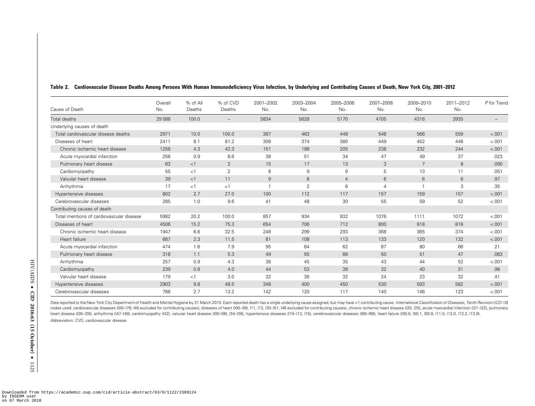| Cause of Death                           | Overall<br>No. | % of All<br>Deaths | % of CVD<br>Deaths       | 2001-2002<br>No. | 2003-2004<br>No. | 2005-2006<br>No. | 2007-2008<br>No. | 2009-2010<br>No. | 2011-2012<br>No. | P for Trend              |
|------------------------------------------|----------------|--------------------|--------------------------|------------------|------------------|------------------|------------------|------------------|------------------|--------------------------|
| Total deaths                             | 29588          | 100.0              | $\overline{\phantom{0}}$ | 5834             | 5628             | 5170             | 4705             | 4316             | 3935             | $\overline{\phantom{0}}$ |
| Underlying causes of death               |                |                    |                          |                  |                  |                  |                  |                  |                  |                          |
| Total cardiovascular disease deaths      | 2971           | 10.0               | 100.0                    | 387              | 463              | 448              | 548              | 566              | 559              | < .001                   |
| Diseases of heart                        | 2411           | 8.1                | 81.2                     | 308              | 374              | 380              | 449              | 452              | 448              | $-.001$                  |
| Chronic ischemic heart disease           | 1258           | 4.3                | 42.3                     | 151              | 188              | 205              | 238              | 232              | 244              | < .001                   |
| Acute myocardial infarction              | 256            | 0.9                | 8.6                      | 38               | 51               | 34               | 47               | 49               | 37               | .023                     |
| Pulmonary heart disease                  | 63             | <1                 | $\overline{2}$           | 15               | 17               | 13               | 3                | $\overline{7}$   | 8                | .090                     |
| Cardiomyopathy                           | 55             | <1                 | 2                        | 8                | 9                | 9                | 5                | 13               | 11               | .051                     |
| Valvular heart disease                   | 39             | <1                 | 11                       | 9                | 8                | $\overline{4}$   | 6                | 6                | $6\phantom{1}6$  | .97                      |
| Arrhythmia                               | 17             | <1                 | <1                       |                  | $\overline{2}$   | $6\phantom{1}6$  | $\overline{4}$   |                  | 3                | .35                      |
| Hypertensive diseases                    | 802            | 2.7                | 27.0                     | 100              | 112              | 117              | 157              | 159              | 157              | $-.001$                  |
| Cerebrovascular diseases                 | 285            | 1.0                | 9.6                      | 41               | 48               | 30               | 55               | 59               | 52               | $-.001$                  |
| Contributing causes of death             |                |                    |                          |                  |                  |                  |                  |                  |                  |                          |
| Total mentions of cardiovascular disease | 5982           | 20.2               | 100.0                    | 857              | 934              | 932              | 1076             | 1111             | 1072             | < .001                   |
| Diseases of heart                        | 4506           | 15.2               | 75.3                     | 654              | 706              | 712              | 800              | 818              | 816              | < .001                   |
| Chronic ischemic heart disease           | 1947           | 6.6                | 32.5                     | 248              | 299              | 293              | 368              | 365              | 374              | < .001                   |
| Heart failure                            | 687            | 2.3                | 11.5                     | 81               | 108              | 113              | 133              | 120              | 132              | < .001                   |
| Acute myocardial infarction              | 474            | 1.6                | 7.9                      | 95               | 84               | 62               | 87               | 80               | 66               | .21                      |
| Pulmonary heart disease                  | 318            | 1.1                | 5.3                      | 49               | 55               | 66               | 50               | 51               | 47               | .063                     |
| Arrhythmia                               | 257            | 0.9                | 4.3                      | 38               | 45               | 35               | 43               | 44               | 52               | $-.001$                  |
| Cardiomyopathy                           | 239            | 0.8                | 4.0                      | 44               | 53               | 39               | 32               | 40               | 31               | .98                      |
| Valvular heart disease                   | 179            | <1                 | 3.0                      | 32               | 36               | 32               | 24               | 23               | 32               | .41                      |
| Hypertensive diseases                    | 2903           | 9.8                | 48.5                     | 348              | 400              | 450              | 530              | 593              | 582              | < .001                   |
| Cerebrovascular diseases                 | 788            | 2.7                | 13.2                     | 142              | 120              | 117              | 140              | 146              | 123              | < .001                   |

#### <span id="page-3-0"></span>Table 2. Cardiovascular Disease Deaths Among Persons With Human Immunodeficiency Virus Infection, by Underlying and Contributing Causes of Death, New York City, 2001–2012

Data reported to the New York City Department of Health and Mental Hygiene by 31 March 2015. Each reported death has a single underlying cause assigned, but may have >1 contributing cause. International Classification of D codes used: cardiovascular diseases (I00-I78; I46 excluded for contributing causes), diseases of heart (I00-I09, 111, 113, I20-I51; I46 excluded for contributing causes), chronic ischemic heart diseases (I21, 125, pulmonar heart disease (I26-I28), arrhythmia (I47-I49), cardiomyopathy (I42), valvular heart disease (I00-I09, I34-I38), hypertensive diseases (I10-I13, 115), cerebrovascular diseases (I60-I69), heart failure (I50.0, I50.1, I50.9, Abbreviation: CVD, cardiovascular disease.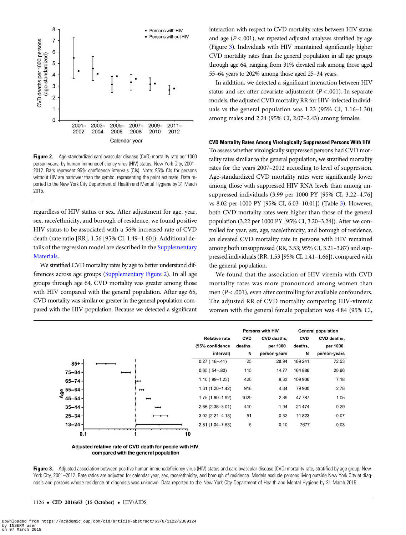<span id="page-4-0"></span>

Figure 2. Age-standardized cardiovascular disease (CVD) mortality rate per 1000 person-years, by human immunodeficiency virus (HIV) status, New York City, 2001– 2012. Bars represent 95% confidence intervals (CIs). Note: 95% CIs for persons without HIV are narrower than the symbol representing the point estimate. Data reported to the New York City Department of Health and Mental Hygiene by 31 March 2015.

regardless of HIV status or sex. After adjustment for age, year, sex, race/ethnicity, and borough of residence, we found positive HIV status to be associated with a 56% increased rate of CVD death (rate ratio [RR], 1.56 [95% CI, 1.49–1.60]). Additional details of the regression model are described in the [Supplementary](http://cid.oxfordjournals.org/lookup/suppl/doi:10.1093/cid/ciw470/-/DC1) [Materials](http://cid.oxfordjournals.org/lookup/suppl/doi:10.1093/cid/ciw470/-/DC1).

We stratified CVD mortality rates by age to better understand differences across age groups [\(Supplementary Figure 2](http://cid.oxfordjournals.org/lookup/suppl/doi:10.1093/cid/ciw470/-/DC1)). In all age groups through age 64, CVD mortality was greater among those with HIV compared with the general population. After age 65, CVD mortality was similar or greater in the general population compared with the HIV population. Because we detected a significant

interaction with respect to CVD mortality rates between HIV status and age  $(P < .001)$ , we repeated adjusted analyses stratified by age (Figure 3). Individuals with HIV maintained significantly higher CVD mortality rates than the general population in all age groups through age 64, ranging from 31% elevated risk among those aged 55–64 years to 202% among those aged 25–34 years.

In addition, we detected a significant interaction between HIV status and sex after covariate adjustment ( $P < .001$ ). In separate models, the adjusted CVD mortality RR for HIV-infected individuals vs the general population was 1.23 (95% CI, 1.16–1.30) among males and 2.24 (95% CI, 2.07–2.43) among females.

## CVD Mortality Rates Among Virologically Suppressed Persons With HIV

To assess whether virologically suppressed persons had CVD mortality rates similar to the general population, we stratified mortality rates for the years 2007–2012 according to level of suppression. Age-standardized CVD mortality rates were significantly lower among those with suppressed HIV RNA levels than among unsuppressed individuals (3.99 per 1000 PY [95% CI, 3.22–4.76] vs 8.02 per 1000 PY [95% CI, 6.03–10.01]) (Table [3\)](#page-5-0). However, both CVD mortality rates were higher than those of the general population (3.22 per 1000 PY [95% CI, 3.20–3.24]). After we controlled for year, sex, age, race/ethnicity, and borough of residence, an elevated CVD mortality rate in persons with HIV remained among both unsuppressed (RR, 3.53; 95% CI, 3.21–3.87) and suppressed individuals (RR, 1.53 [95% CI, 1.41–1.66]), compared with the general population.

We found that the association of HIV viremia with CVD mortality rates was more pronounced among women than men ( $P < .001$ ), even after controlling for available confounders. The adjusted RR of CVD mortality comparing HIV-viremic women with the general female population was 4.84 (95% CI,

|                       |   |                          |                      | <b>Persons with HIV</b> |              | <b>General population</b> |              |
|-----------------------|---|--------------------------|----------------------|-------------------------|--------------|---------------------------|--------------|
|                       |   |                          | <b>Relative rate</b> | <b>CVD</b>              | CVD deaths,  | <b>CVD</b>                | CVD deaths,  |
|                       |   |                          | (95% confidence      | deaths,                 | per 1000     | deaths,                   | per 1000     |
|                       |   |                          | interval)            | N                       | person-years | N                         | person-years |
| $85 + -$              |   |                          | $0.27$ (.18 - .41)   | 25                      | 28.94        | 189 241                   | 72.53        |
| $75 - 84 -$           | − |                          | $0.65(.54-.80)$      | 115                     | 14.77        | 164 886                   | 20.66        |
| $65 - 74 -$           |   |                          | $1.10(.99 - 1.23)$   | 420                     | 9.33         | 109 906                   | 7.18         |
| $\frac{9}{4}$ 55-64 - |   | н                        | $1.31(1.20 - 1.42)$  | 916                     | 4.84         | 79 900                    | 2.78         |
| $45 - 54 -$           |   | $\blacksquare$           | $1.75(1.60 - 1.92)$  | 1029                    | 2.39         | 47787                     | 1.05         |
| $35 - 44 -$           |   | $\overline{\phantom{a}}$ | $2.66(2.35 - 3.01)$  | 410                     | 1.04         | 21 4 7 4                  | 0.29         |
| $25 - 34 -$           |   |                          | $3.02(2.21 - 4.13)$  | 51                      | 0.32         | 11823                     | 0.07         |
| $13 - 24 -$           |   |                          | $2.81(1.04 - 7.53)$  | 5                       | 0.10         | 7677                      | 0.03         |
| 0.1                   |   |                          | 10                   |                         |              |                           |              |

Adjusted relative rate of CVD death for people with HIV, compared with the general population

Figure 3. Adjusted association between positive human immunodeficiency virus (HIV) status and cardiovascular disease (CVD) mortality rate, stratified by age group, New-York City, 2001–2012. Rate ratios are adjusted for calendar year, sex, race/ethnicity, and borough of residence. Models exclude persons living outside New York City at diagnosis and persons whose residence at diagnosis was unknown. Data reported to the New York City Department of Health and Mental Hygiene by 31 March 2015.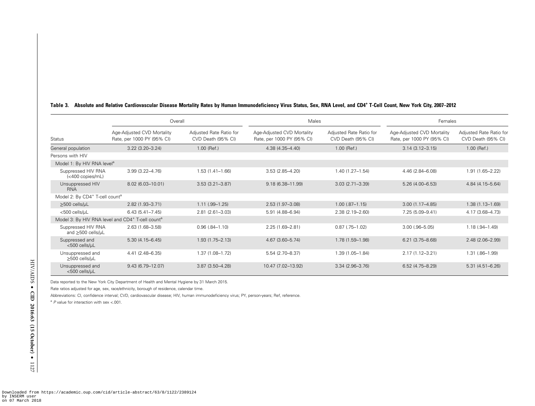| Overall                                                |                                                                          |                                               | Males                                                    |                                               | Females                                                  |                                               |  |
|--------------------------------------------------------|--------------------------------------------------------------------------|-----------------------------------------------|----------------------------------------------------------|-----------------------------------------------|----------------------------------------------------------|-----------------------------------------------|--|
| Status                                                 | Age-Adjusted CVD Mortality<br>Rate, per 1000 PY (95% CI)                 | Adjusted Rate Ratio for<br>CVD Death (95% CI) | Age-Adjusted CVD Mortality<br>Rate, per 1000 PY (95% CI) | Adjusted Rate Ratio for<br>CVD Death (95% CI) | Age-Adjusted CVD Mortality<br>Rate, per 1000 PY (95% CI) | Adjusted Rate Ratio for<br>CVD Death (95% CI) |  |
| General population                                     | $3.22(3.20 - 3.24)$                                                      | $1.00$ (Ref.)                                 | 4.38 (4.35-4.40)                                         | $1.00$ (Ref.)                                 | $3.14(3.12 - 3.15)$                                      | 1.00 (Ref.)                                   |  |
| Persons with HIV                                       |                                                                          |                                               |                                                          |                                               |                                                          |                                               |  |
| Model 1: By HIV RNA level <sup>a</sup>                 |                                                                          |                                               |                                                          |                                               |                                                          |                                               |  |
| Suppressed HIV RNA<br>$(<$ 400 copies/mL)              | $3.99(3.22 - 4.76)$                                                      | $1.53(1.41 - 1.66)$                           | $3.53(2.85 - 4.20)$                                      | $1.40(1.27 - 1.54)$                           | 4.46 (2.84-6.08)                                         | $1.91(1.65 - 2.22)$                           |  |
| Unsuppressed HIV<br><b>RNA</b>                         | 8.02 (6.03-10.01)                                                        | $3.53(3.21 - 3.87)$                           | $9.18(6.38 - 11.99)$                                     | $3.03(2.71 - 3.39)$                           | $5.26(4.00 - 6.53)$                                      | 4.84 (4.15-5.64)                              |  |
| Model 2: By CD4 <sup>+</sup> T-cell count <sup>a</sup> |                                                                          |                                               |                                                          |                                               |                                                          |                                               |  |
| $\geq$ 500 cells/µL                                    | 2.82 (1.93-3.71)                                                         | $1.11(.99 - 1.25)$                            | $2.53(1.97 - 3.08)$                                      | $1.00$ $(.87 - 1.15)$                         | $3.00(1.17 - 4.85)$                                      | $1.38(1.13 - 1.69)$                           |  |
| <500 cells/µL                                          | $6.43(5.41 - 7.45)$                                                      | $2.81(2.61 - 3.03)$                           | 5.91 (4.88-6.94)                                         | 2.38 (2.19 - 2.60)                            | 7.25 (5.09-9.41)                                         | 4.17 (3.68-4.73)                              |  |
|                                                        | Model 3: By HIV RNA level and CD4 <sup>+</sup> T-cell count <sup>a</sup> |                                               |                                                          |                                               |                                                          |                                               |  |
| Suppressed HIV RNA<br>and ≥500 cells/µL                | 2.63 (1.68-3.58)                                                         | $0.96(.84 - 1.10)$                            | 2.25 (1.69-2.81)                                         | $0.87$ $(.75 - 1.02)$                         | $3.00$ (.96-5.05)                                        | $1.18(.94 - 1.49)$                            |  |
| Suppressed and<br><500 cells/µL                        | $5.30(4.15 - 6.45)$                                                      | $1.93(1.75 - 2.13)$                           | 4.67 (3.60-5.74)                                         | 1.78 (1.59-1.98)                              | $6.21(3.75 - 8.68)$                                      | 2.48 (2.06-2.99)                              |  |
| Unsuppressed and<br>$\geq$ 500 cells/µL                | $4.41(2.48 - 6.35)$                                                      | 1.37 (1.08-1.72)                              | 5.54 (2.70-8.37)                                         | 1.39 (1.05-1.84)                              | $2.17(1.12 - 3.21)$                                      | 1.31 (.86-1.99)                               |  |
| Unsuppressed and<br><500 cells/µL                      | $9.43(6.79 - 12.07)$                                                     | $3.87(3.50 - 4.28)$                           | 10.47 (7.02-13.92)                                       | $3.34(2.96 - 3.76)$                           | $6.52(4.75 - 8.29)$                                      | $5.31(4.51 - 6.26)$                           |  |

# <span id="page-5-0"></span>Table 3. Absolute and Relative Cardiovascular Disease Mortality Rates by Human Immunodeficiency Virus Status, Sex, RNA Level, and CD4+ T-Cell Count, New York City, 2007–2012

Data reported to the New York City Department of Health and Mental Hygiene by 31 March 2015.

Rate ratios adjusted for age, sex, race/ethnicity, borough of residence, calendar time.

Abbreviations: CI, confidence interval; CVD, cardiovascular disease; HIV, human immunodeficiency virus; PY, person-years; Ref, reference.

<sup>a</sup> P value for interaction with sex <.001.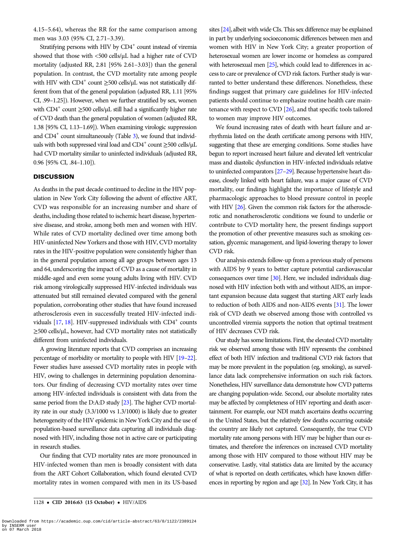4.15–5.64), whereas the RR for the same comparison among men was 3.03 (95% CI, 2.71–3.39).

Stratifying persons with HIV by CD4<sup>+</sup> count instead of viremia showed that those with <500 cells/µL had a higher rate of CVD mortality (adjusted RR, 2.81 [95% 2.61–3.03]) than the general population. In contrast, the CVD mortality rate among people with HIV with  $CD4^+$  count  $\geq$ 500 cells/ $\mu$ L was not statistically different from that of the general population (adjusted RR, 1.11 [95% CI, .99–1.25]). However, when we further stratified by sex, women with  $CD4^+$  count  $\geq$ 500 cells/ $\mu$ L still had a significantly higher rate of CVD death than the general population of women (adjusted RR, 1.38 [95% CI, 1.13–1.69]). When examining virologic suppression and  $CD4^+$  count simultaneously (Table [3](#page-5-0)), we found that individuals with both suppressed viral load and CD4<sup>+</sup> count  $\geq$ 500 cells/ $\mu$ L had CVD mortality similar to uninfected individuals (adjusted RR, 0.96 [95% CI, .84–1.10]).

# **DISCUSSION**

As deaths in the past decade continued to decline in the HIV population in New York City following the advent of effective ART, CVD was responsible for an increasing number and share of deaths, including those related to ischemic heart disease, hypertensive disease, and stroke, among both men and women with HIV. While rates of CVD mortality declined over time among both HIV-uninfected New Yorkers and those with HIV, CVD mortality rates in the HIV-positive population were consistently higher than in the general population among all age groups between ages 13 and 64, underscoring the impact of CVD as a cause of mortality in middle-aged and even some young adults living with HIV. CVD risk among virologically suppressed HIV-infected individuals was attenuated but still remained elevated compared with the general population, corroborating other studies that have found increased atherosclerosis even in successfully treated HIV-infected individuals  $[17, 18]$  $[17, 18]$  $[17, 18]$  $[17, 18]$ . HIV-suppressed individuals with  $CD4^+$  counts ≥500 cells/µL, however, had CVD mortality rates not statistically different from uninfected individuals.

A growing literature reports that CVD comprises an increasing percentage of morbidity or mortality to people with HIV [[19](#page-7-0)–[22\]](#page-7-0). Fewer studies have assessed CVD mortality rates in people with HIV, owing to challenges in determining population denominators. Our finding of decreasing CVD mortality rates over time among HIV-infected individuals is consistent with data from the same period from the D:A:D study [\[23](#page-7-0)]. The higher CVD mortality rate in our study (3.3/1000 vs 1.3/1000) is likely due to greater heterogeneity of the HIV epidemic in New York City and the use of population-based surveillance data capturing all individuals diagnosed with HIV, including those not in active care or participating in research studies.

Our finding that CVD mortality rates are more pronounced in HIV-infected women than men is broadly consistent with data from the ART Cohort Collaboration, which found elevated CVD mortality rates in women compared with men in its US-based

1128 • CID 2016:63 (15 October) • HIV/AIDS

sites [\[24\]](#page-7-0), albeit with wide CIs. This sex difference may be explained in part by underlying socioeconomic differences between men and women with HIV in New York City; a greater proportion of heterosexual women are lower income or homeless as compared with heterosexual men [[25](#page-7-0)], which could lead to differences in access to care or prevalence of CVD risk factors. Further study is warranted to better understand these differences. Nonetheless, these findings suggest that primary care guidelines for HIV-infected patients should continue to emphasize routine health care maintenance with respect to CVD [\[26](#page-7-0)], and that specific tools tailored to women may improve HIV outcomes.

We found increasing rates of death with heart failure and arrhythmia listed on the death certificate among persons with HIV, suggesting that these are emerging conditions. Some studies have begun to report increased heart failure and elevated left ventricular mass and diastolic dysfunction in HIV-infected individuals relative to uninfected comparators [\[27](#page-7-0)-[29](#page-7-0)]. Because hypertensive heart disease, closely linked with heart failure, was a major cause of CVD mortality, our findings highlight the importance of lifestyle and pharmacologic approaches to blood pressure control in people with HIV [\[26](#page-7-0)]. Given the common risk factors for the atherosclerotic and nonatherosclerotic conditions we found to underlie or contribute to CVD mortality here, the present findings support the promotion of other preventive measures such as smoking cessation, glycemic management, and lipid-lowering therapy to lower CVD risk.

Our analysis extends follow-up from a previous study of persons with AIDS by 9 years to better capture potential cardiovascular consequences over time [[30](#page-7-0)]. Here, we included individuals diagnosed with HIV infection both with and without AIDS, an important expansion because data suggest that starting ART early leads to reduction of both AIDS and non-AIDS events [[31](#page-7-0)]. The lower risk of CVD death we observed among those with controlled vs uncontrolled viremia supports the notion that optimal treatment of HIV decreases CVD risk.

Our study has some limitations. First, the elevated CVD mortality risk we observed among those with HIV represents the combined effect of both HIV infection and traditional CVD risk factors that may be more prevalent in the population (eg, smoking), as surveillance data lack comprehensive information on such risk factors. Nonetheless, HIV surveillance data demonstrate how CVD patterns are changing population-wide. Second, our absolute mortality rates may be affected by completeness of HIV reporting and death ascertainment. For example, our NDI match ascertains deaths occurring in the United States, but the relatively few deaths occurring outside the country are likely not captured. Consequently, the true CVD mortality rate among persons with HIV may be higher than our estimates, and therefore the inferences on increased CVD mortality among those with HIV compared to those without HIV may be conservative. Lastly, vital statistics data are limited by the accuracy of what is reported on death certificates, which have known differences in reporting by region and age [\[32](#page-7-0)]. In New York City, it has